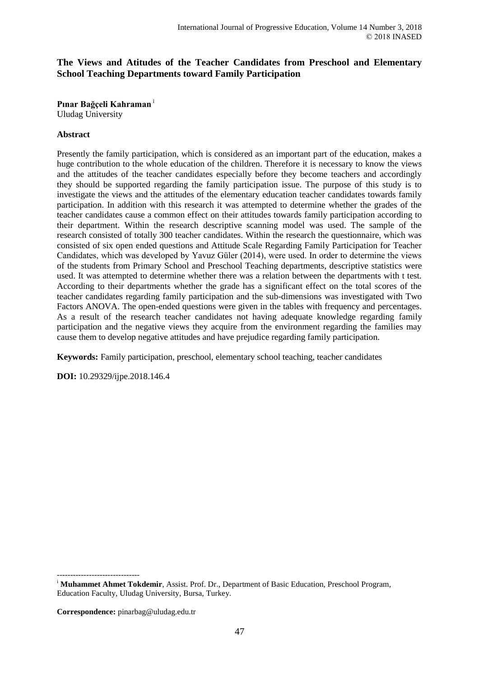# **The Views and Atitudes of the Teacher Candidates from Preschool and Elementary School Teaching Departments toward Family Participation**

**Pınar Bağçeli Kahraman** <sup>i</sup> Uludag University

## **Abstract**

Presently the family participation, which is considered as an important part of the education, makes a huge contribution to the whole education of the children. Therefore it is necessary to know the views and the attitudes of the teacher candidates especially before they become teachers and accordingly they should be supported regarding the family participation issue. The purpose of this study is to investigate the views and the attitudes of the elementary education teacher candidates towards family participation. In addition with this research it was attempted to determine whether the grades of the teacher candidates cause a common effect on their attitudes towards family participation according to their department. Within the research descriptive scanning model was used. The sample of the research consisted of totally 300 teacher candidates. Within the research the questionnaire, which was consisted of six open ended questions and Attitude Scale Regarding Family Participation for Teacher Candidates, which was developed by Yavuz Güler (2014), were used. In order to determine the views of the students from Primary School and Preschool Teaching departments, descriptive statistics were used. It was attempted to determine whether there was a relation between the departments with t test. According to their departments whether the grade has a significant effect on the total scores of the teacher candidates regarding family participation and the sub-dimensions was investigated with Two Factors ANOVA. The open-ended questions were given in the tables with frequency and percentages. As a result of the research teacher candidates not having adequate knowledge regarding family participation and the negative views they acquire from the environment regarding the families may cause them to develop negative attitudes and have prejudice regarding family participation.

**Keywords:** Family participation, preschool, elementary school teaching, teacher candidates

**DOI:** 10.29329/ijpe.2018.146.4

**Correspondence:** pinarbag@uludag.edu.tr

<sup>-------------------------------</sup> <sup>i</sup> Muhammet Ahmet Tokdemir, Assist. Prof. Dr., Department of Basic Education, Preschool Program, Education Faculty, Uludag University, Bursa, Turkey.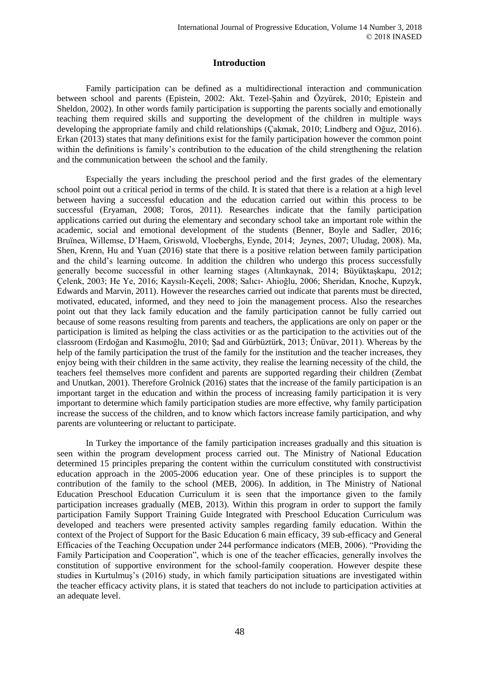## **Introduction**

Family participation can be defined as a multidirectional interaction and communication between school and parents (Epistein, 2002: Akt. Tezel-Şahin and Özyürek, 2010; Epistein and Sheldon, 2002). In other words family participation is supporting the parents socially and emotionally teaching them required skills and supporting the development of the children in multiple ways developing the appropriate family and child relationships (Çakmak, 2010; Lindberg and Oğuz, 2016). Erkan (2013) states that many definitions exist for the family participation however the common point within the definitions is family's contribution to the education of the child strengthening the relation and the communication between the school and the family.

Especially the years including the preschool period and the first grades of the elementary school point out a critical period in terms of the child. It is stated that there is a relation at a high level between having a successful education and the education carried out within this process to be successful (Eryaman, 2008; Toros, 2011). Researches indicate that the family participation applications carried out during the elementary and secondary school take an important role within the academic, social and emotional development of the students (Benner, Boyle and Sadler, 2016; Bruïnea, Willemse, D'Haem, Griswold, Vloeberghs, Eynde, 2014; Jeynes, 2007; Uludag, 2008). Ma, Shen, Krenn, Hu and Yuan (2016) state that there is a positive relation between family participation and the child's learning outcome. In addition the children who undergo this process successfully generally become successful in other learning stages (Altınkaynak, 2014; Büyüktaşkapu, 2012; Çelenk, 2003; He Ye, 2016; Kaysılı-Keçeli, 2008; Salıcı- Ahioğlu, 2006; Sheridan, Knoche, Kupzyk, Edwards and Marvin, 2011). However the researches carried out indicate that parents must be directed, motivated, educated, informed, and they need to join the management process. Also the researches point out that they lack family education and the family participation cannot be fully carried out because of some reasons resulting from parents and teachers, the applications are only on paper or the participation is limited as helping the class activities or as the participation to the activities out of the classroom (Erdoğan and Kasımoğlu, 2010; Şad and Gürbüztürk, 2013; Ünüvar, 2011). Whereas by the help of the family participation the trust of the family for the institution and the teacher increases, they enjoy being with their children in the same activity, they realise the learning necessity of the child, the teachers feel themselves more confident and parents are supported regarding their children (Zembat and Unutkan, 2001). Therefore Grolnick (2016) states that the increase of the family participation is an important target in the education and within the process of increasing family participation it is very important to determine which family participation studies are more effective, why family participation increase the success of the children, and to know which factors increase family participation, and why parents are volunteering or reluctant to participate.

In Turkey the importance of the family participation increases gradually and this situation is seen within the program development process carried out. The Ministry of National Education determined 15 principles preparing the content within the curriculum constituted with constructivist education approach in the 2005-2006 education year. One of these principles is to support the contribution of the family to the school (MEB, 2006). In addition, in The Ministry of National Education Preschool Education Curriculum it is seen that the importance given to the family participation increases gradually (MEB, 2013). Within this program in order to support the family participation Family Support Training Guide Integrated with Preschool Education Curriculum was developed and teachers were presented activity samples regarding family education. Within the context of the Project of Support for the Basic Education 6 main efficacy, 39 sub-efficacy and General Efficacies of the Teaching Occupation under 244 performance indicators (MEB, 2006). "Providing the Family Participation and Cooperation", which is one of the teacher efficacies, generally involves the constitution of supportive environment for the school-family cooperation. However despite these studies in Kurtulmuş's (2016) study, in which family participation situations are investigated within the teacher efficacy activity plans, it is stated that teachers do not include to participation activities at an adequate level.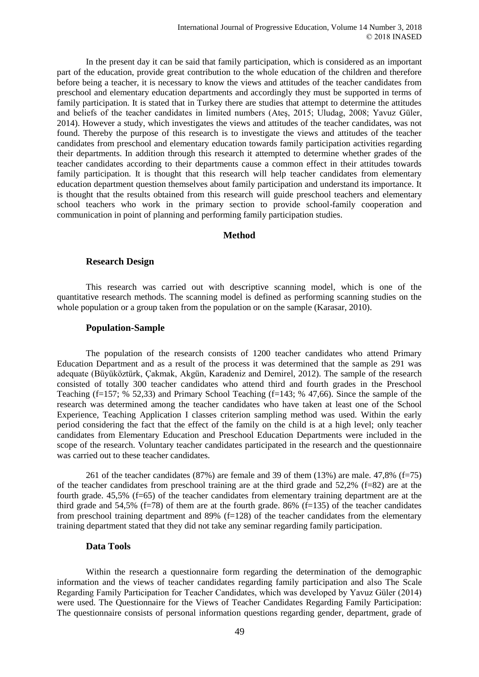In the present day it can be said that family participation, which is considered as an important part of the education, provide great contribution to the whole education of the children and therefore before being a teacher, it is necessary to know the views and attitudes of the teacher candidates from preschool and elementary education departments and accordingly they must be supported in terms of family participation. It is stated that in Turkey there are studies that attempt to determine the attitudes and beliefs of the teacher candidates in limited numbers (Ateş, 2015; Uludag, 2008; Yavuz Güler, 2014). However a study, which investigates the views and attitudes of the teacher candidates, was not found. Thereby the purpose of this research is to investigate the views and attitudes of the teacher candidates from preschool and elementary education towards family participation activities regarding their departments. In addition through this research it attempted to determine whether grades of the teacher candidates according to their departments cause a common effect in their attitudes towards family participation. It is thought that this research will help teacher candidates from elementary education department question themselves about family participation and understand its importance. It is thought that the results obtained from this research will guide preschool teachers and elementary school teachers who work in the primary section to provide school-family cooperation and communication in point of planning and performing family participation studies.

### **Method**

#### **Research Design**

This research was carried out with descriptive scanning model, which is one of the quantitative research methods. The scanning model is defined as performing scanning studies on the whole population or a group taken from the population or on the sample (Karasar, 2010).

#### **Population-Sample**

The population of the research consists of 1200 teacher candidates who attend Primary Education Department and as a result of the process it was determined that the sample as 291 was adequate (Büyüköztürk, Çakmak, Akgün, Karadeniz and Demirel, 2012). The sample of the research consisted of totally 300 teacher candidates who attend third and fourth grades in the Preschool Teaching (f=157; % 52,33) and Primary School Teaching (f=143; % 47,66). Since the sample of the research was determined among the teacher candidates who have taken at least one of the School Experience, Teaching Application I classes criterion sampling method was used. Within the early period considering the fact that the effect of the family on the child is at a high level; only teacher candidates from Elementary Education and Preschool Education Departments were included in the scope of the research. Voluntary teacher candidates participated in the research and the questionnaire was carried out to these teacher candidates.

261 of the teacher candidates (87%) are female and 39 of them (13%) are male. 47,8% (f=75) of the teacher candidates from preschool training are at the third grade and  $52.2\%$  (f=82) are at the fourth grade. 45,5% (f=65) of the teacher candidates from elementary training department are at the third grade and 54,5% (f=78) of them are at the fourth grade. 86% (f=135) of the teacher candidates from preschool training department and 89% (f=128) of the teacher candidates from the elementary training department stated that they did not take any seminar regarding family participation.

#### **Data Tools**

Within the research a questionnaire form regarding the determination of the demographic information and the views of teacher candidates regarding family participation and also The Scale Regarding Family Participation for Teacher Candidates, which was developed by Yavuz Güler (2014) were used. The Questionnaire for the Views of Teacher Candidates Regarding Family Participation: The questionnaire consists of personal information questions regarding gender, department, grade of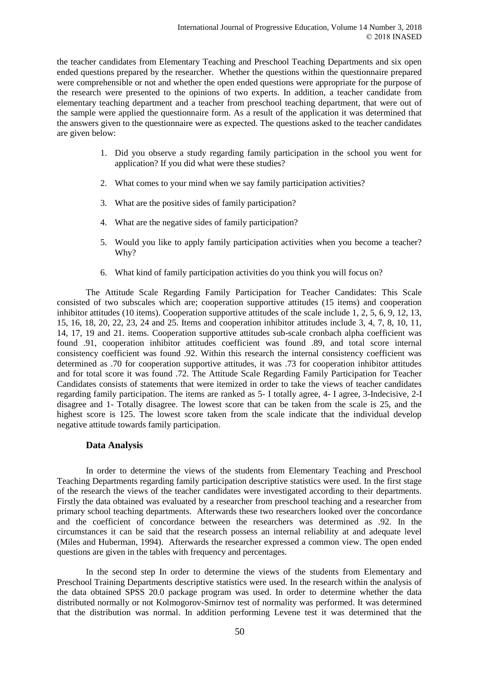the teacher candidates from Elementary Teaching and Preschool Teaching Departments and six open ended questions prepared by the researcher. Whether the questions within the questionnaire prepared were comprehensible or not and whether the open ended questions were appropriate for the purpose of the research were presented to the opinions of two experts. In addition, a teacher candidate from elementary teaching department and a teacher from preschool teaching department, that were out of the sample were applied the questionnaire form. As a result of the application it was determined that the answers given to the questionnaire were as expected. The questions asked to the teacher candidates are given below:

- 1. Did you observe a study regarding family participation in the school you went for application? If you did what were these studies?
- 2. What comes to your mind when we say family participation activities?
- 3. What are the positive sides of family participation?
- 4. What are the negative sides of family participation?
- 5. Would you like to apply family participation activities when you become a teacher? Why?
- 6. What kind of family participation activities do you think you will focus on?

The Attitude Scale Regarding Family Participation for Teacher Candidates: This Scale consisted of two subscales which are; cooperation supportive attitudes (15 items) and cooperation inhibitor attitudes (10 items). Cooperation supportive attitudes of the scale include 1, 2, 5, 6, 9, 12, 13, 15, 16, 18, 20, 22, 23, 24 and 25. Items and cooperation inhibitor attitudes include 3, 4, 7, 8, 10, 11, 14, 17, 19 and 21. items. Cooperation supportive attitudes sub-scale cronbach alpha coefficient was found .91, cooperation inhibitor attitudes coefficient was found .89, and total score internal consistency coefficient was found .92. Within this research the internal consistency coefficient was determined as .70 for cooperation supportive attitudes, it was .73 for cooperation inhibitor attitudes and for total score it was found .72. The Attitude Scale Regarding Family Participation for Teacher Candidates consists of statements that were itemized in order to take the views of teacher candidates regarding family participation. The items are ranked as 5- I totally agree, 4- I agree, 3-Indecisive, 2-I disagree and 1- Totally disagree. The lowest score that can be taken from the scale is 25, and the highest score is 125. The lowest score taken from the scale indicate that the individual develop negative attitude towards family participation.

## **Data Analysis**

In order to determine the views of the students from Elementary Teaching and Preschool Teaching Departments regarding family participation descriptive statistics were used. In the first stage of the research the views of the teacher candidates were investigated according to their departments. Firstly the data obtained was evaluated by a researcher from preschool teaching and a researcher from primary school teaching departments. Afterwards these two researchers looked over the concordance and the coefficient of concordance between the researchers was determined as .92. In the circumstances it can be said that the research possess an internal reliability at and adequate level (Miles and Huberman, 1994). Afterwards the researcher expressed a common view. The open ended questions are given in the tables with frequency and percentages.

In the second step In order to determine the views of the students from Elementary and Preschool Training Departments descriptive statistics were used. In the research within the analysis of the data obtained SPSS 20.0 package program was used. In order to determine whether the data distributed normally or not [Kolmogorov-Smirnov](https://www.google.com.tr/url?sa=t&rct=j&q=&esrc=s&source=web&cd=4&cad=rja&uact=8&ved=0ahUKEwj95ejumurKAhUBiCwKHQjWCgcQFggyMAM&url=http%3A%2F%2Fwww.physics.csbsju.edu%2Fstats%2FKS-test.html&usg=AFQjCNFI6_RjFkwdl7LJrsqu77eijTzpeA) test of normality was performed. It was determined that the distribution was normal. In addition performing Levene test it was determined that the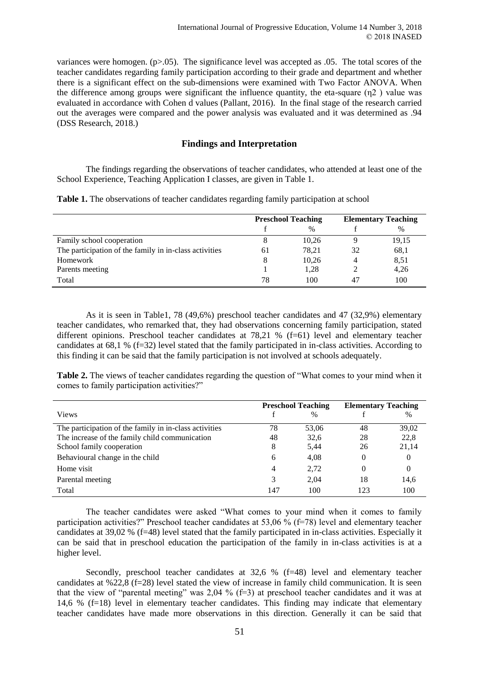variances were homogen.  $(p>0.05)$ . The significance level was accepted as  $0.05$ . The total scores of the teacher candidates regarding family participation according to their grade and department and whether there is a significant effect on the sub-dimensions were examined with Two Factor ANOVA. When the difference among groups were significant the influence quantity, the eta-square  $(\eta_2)$  value was evaluated in accordance with Cohen d values (Pallant, 2016). In the final stage of the research carried out the averages were compared and the power analysis was evaluated and it was determined as .94 (DSS Research, 2018.)

## **Findings and Interpretation**

The findings regarding the observations of teacher candidates, who attended at least one of the School Experience, Teaching Application I classes, are given in Table 1.

|  |  | Table 1. The observations of teacher candidates regarding family participation at school |  |  |  |
|--|--|------------------------------------------------------------------------------------------|--|--|--|
|  |  |                                                                                          |  |  |  |

|                                                        | <b>Preschool Teaching</b> |       |    | <b>Elementary Teaching</b> |
|--------------------------------------------------------|---------------------------|-------|----|----------------------------|
|                                                        |                           | $\%$  |    | $\frac{0}{0}$              |
| Family school cooperation                              |                           | 10,26 |    | 19,15                      |
| The participation of the family in in-class activities | 61                        | 78,21 | 32 | 68,1                       |
| Homework                                               | 8                         | 10,26 | 4  | 8,51                       |
| Parents meeting                                        |                           | 1,28  |    | 4,26                       |
| Total                                                  | 78                        | 100   | 47 | 100                        |

As it is seen in Table1, 78 (49,6%) preschool teacher candidates and 47 (32,9%) elementary teacher candidates, who remarked that, they had observations concerning family participation, stated different opinions. Preschool teacher candidates at 78,21 % (f=61) level and elementary teacher candidates at 68,1 % (f=32) level stated that the family participated in in-class activities. According to this finding it can be said that the family participation is not involved at schools adequately.

**Table 2.** The views of teacher candidates regarding the question of "What comes to your mind when it comes to family participation activities?"

|                                                        | <b>Preschool Teaching</b> |               | <b>Elementary Teaching</b> |               |
|--------------------------------------------------------|---------------------------|---------------|----------------------------|---------------|
| <b>Views</b>                                           |                           | $\frac{0}{0}$ |                            | $\frac{0}{0}$ |
| The participation of the family in in-class activities | 78                        | 53,06         | 48                         | 39,02         |
| The increase of the family child communication         | 48                        | 32,6          | 28                         | 22,8          |
| School family cooperation                              | 8                         | 5,44          | 26                         | 21,14         |
| Behavioural change in the child                        | 6                         | 4,08          | 0                          | 0             |
| Home visit                                             | 4                         | 2,72          | 0                          | $\theta$      |
| Parental meeting                                       | 3                         | 2,04          | 18                         | 14,6          |
| Total                                                  | 147                       | 100           | 123                        | 100           |

The teacher candidates were asked "What comes to your mind when it comes to family participation activities?" Preschool teacher candidates at 53,06 % (f=78) level and elementary teacher candidates at 39,02 % (f=48) level stated that the family participated in in-class activities. Especially it can be said that in preschool education the participation of the family in in-class activities is at a higher level.

Secondly, preschool teacher candidates at 32,6 % (f=48) level and elementary teacher candidates at %22,8 (f=28) level stated the view of increase in family child communication. It is seen that the view of "parental meeting" was 2,04 % (f=3) at preschool teacher candidates and it was at 14,6 % (f=18) level in elementary teacher candidates. This finding may indicate that elementary teacher candidates have made more observations in this direction. Generally it can be said that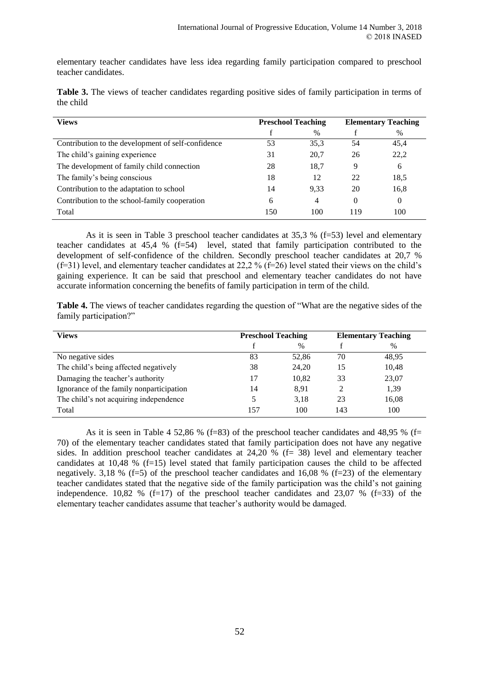elementary teacher candidates have less idea regarding family participation compared to preschool teacher candidates.

|           |  |  |  |  | Table 3. The views of teacher candidates regarding positive sides of family participation in terms of |  |
|-----------|--|--|--|--|-------------------------------------------------------------------------------------------------------|--|
| the child |  |  |  |  |                                                                                                       |  |

| <b>Views</b>                                       | <b>Preschool Teaching</b> |      | <b>Elementary Teaching</b> |      |  |
|----------------------------------------------------|---------------------------|------|----------------------------|------|--|
|                                                    |                           | $\%$ |                            | $\%$ |  |
| Contribution to the development of self-confidence | 53                        | 35.3 | 54                         | 45,4 |  |
| The child's gaining experience                     | 31                        | 20,7 | 26                         | 22,2 |  |
| The development of family child connection         | 28                        | 18,7 | 9                          | 6    |  |
| The family's being conscious                       | 18                        | 12   | 22                         | 18.5 |  |
| Contribution to the adaptation to school           | 14                        | 9.33 | 20                         | 16,8 |  |
| Contribution to the school-family cooperation      | 6                         | 4    | 0                          | 0    |  |
| Total                                              | 150                       | 100  | 119                        | 100  |  |

As it is seen in Table 3 preschool teacher candidates at 35,3 % (f=53) level and elementary teacher candidates at 45,4 % (f=54) level, stated that family participation contributed to the development of self-confidence of the children. Secondly preschool teacher candidates at 20,7 % (f=31) level, and elementary teacher candidates at 22,2 % (f=26) level stated their views on the child's gaining experience. It can be said that preschool and elementary teacher candidates do not have accurate information concerning the benefits of family participation in term of the child.

**Table 4.** The views of teacher candidates regarding the question of "What are the negative sides of the family participation?"

| <b>Views</b>                             | <b>Preschool Teaching</b> |       |     | <b>Elementary Teaching</b> |
|------------------------------------------|---------------------------|-------|-----|----------------------------|
|                                          |                           | $\%$  |     | %                          |
| No negative sides                        | 83                        | 52,86 | 70  | 48,95                      |
| The child's being affected negatively    | 38                        | 24,20 | 15  | 10,48                      |
| Damaging the teacher's authority         | 17                        | 10,82 | 33  | 23,07                      |
| Ignorance of the family nonparticipation | 14                        | 8.91  | 2   | 1,39                       |
| The child's not acquiring independence   |                           | 3.18  | 23  | 16,08                      |
| Total                                    | 157                       | 100   | 143 | 100                        |

As it is seen in Table 4 52,86 % (f=83) of the preschool teacher candidates and 48,95 % (f= 70) of the elementary teacher candidates stated that family participation does not have any negative sides. In addition preschool teacher candidates at 24,20 % (f= 38) level and elementary teacher candidates at 10,48 % (f=15) level stated that family participation causes the child to be affected negatively. 3,18 % (f=5) of the preschool teacher candidates and 16,08 % (f=23) of the elementary teacher candidates stated that the negative side of the family participation was the child's not gaining independence. 10,82 %  $(f=17)$  of the preschool teacher candidates and 23,07 %  $(f=33)$  of the elementary teacher candidates assume that teacher's authority would be damaged.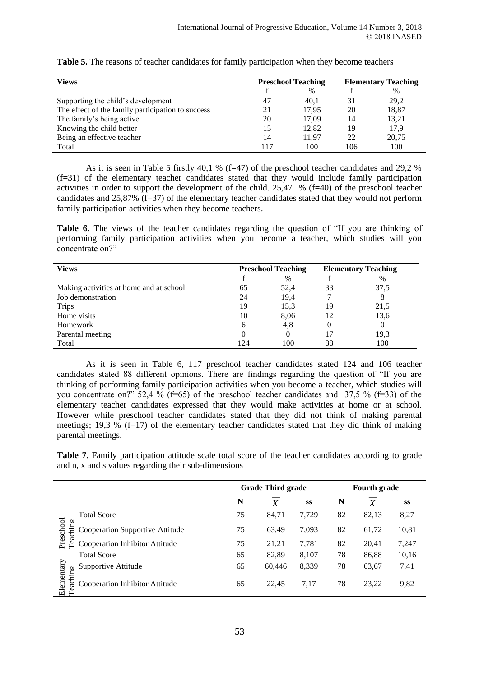| <b>Views</b>                                      | <b>Preschool Teaching</b> |               |     | <b>Elementary Teaching</b> |
|---------------------------------------------------|---------------------------|---------------|-----|----------------------------|
|                                                   |                           | $\frac{0}{0}$ |     | %                          |
| Supporting the child's development                | 47                        | 40.1          | 31  | 29,2                       |
| The effect of the family participation to success | 21                        | 17.95         | 20  | 18,87                      |
| The family's being active                         | 20                        | 17,09         | 14  | 13,21                      |
| Knowing the child better                          | 15                        | 12,82         | 19  | 17,9                       |
| Being an effective teacher                        | 14                        | 11.97         | 22  | 20.75                      |
| Total                                             | 117                       | 100           | 106 | 100                        |

**Table 5.** The reasons of teacher candidates for family participation when they become teachers

As it is seen in Table 5 firstly 40,1 % (f=47) of the preschool teacher candidates and 29,2 %  $(f=31)$  of the elementary teacher candidates stated that they would include family participation activities in order to support the development of the child. 25,47 % (f=40) of the preschool teacher candidates and 25,87% (f=37) of the elementary teacher candidates stated that they would not perform family participation activities when they become teachers.

**Table 6.** The views of the teacher candidates regarding the question of "If you are thinking of performing family participation activities when you become a teacher, which studies will you concentrate on?"

| <b>Views</b>                            |          | <b>Preschool Teaching</b> | <b>Elementary Teaching</b> |                  |
|-----------------------------------------|----------|---------------------------|----------------------------|------------------|
|                                         |          | $\%$                      |                            | %                |
| Making activities at home and at school | 65       | 52,4                      | 33                         | 37,5             |
| Job demonstration                       | 24       | 19,4                      |                            | 8                |
| <b>Trips</b>                            | 19       | 15,3                      | 19                         | 21,5             |
| Home visits                             | 10       | 8,06                      | 12                         | 13,6             |
| Homework                                | 6        | 4,8                       | 0                          | $\left( \right)$ |
| Parental meeting                        | $\theta$ | 0                         | 17                         | 19,3             |
| Total                                   | 124      | 100                       | 88                         | 100              |

As it is seen in Table 6, 117 preschool teacher candidates stated 124 and 106 teacher candidates stated 88 different opinions. There are findings regarding the question of "If you are thinking of performing family participation activities when you become a teacher, which studies will you concentrate on?" 52,4 % (f=65) of the preschool teacher candidates and 37,5 % (f=33) of the elementary teacher candidates expressed that they would make activities at home or at school. However while preschool teacher candidates stated that they did not think of making parental meetings; 19,3 %  $(f=17)$  of the elementary teacher candidates stated that they did think of making parental meetings.

**Table 7.** Family participation attitude scale total score of the teacher candidates according to grade and n, x and s values regarding their sub-dimensions

|                        |                                 | <b>Grade Third grade</b> |        | Fourth grade |    |       |       |
|------------------------|---------------------------------|--------------------------|--------|--------------|----|-------|-------|
|                        |                                 | N                        | X      | SS           | N  |       | SS    |
|                        | <b>Total Score</b>              | 75                       | 84,71  | 7,729        | 82 | 82,13 | 8,27  |
| Preschool<br>Teaching  | Cooperation Supportive Attitude | 75                       | 63,49  | 7,093        | 82 | 61,72 | 10,81 |
|                        | Cooperation Inhibitor Attitude  | 75                       | 21,21  | 7,781        | 82 | 20,41 | 7,247 |
|                        | <b>Total Score</b>              | 65                       | 82,89  | 8,107        | 78 | 86,88 | 10,16 |
|                        | Supportive Attitude             | 65                       | 60,446 | 8,339        | 78 | 63,67 | 7,41  |
| Elementary<br>Teaching | Cooperation Inhibitor Attitude  | 65                       | 22,45  | 7.17         | 78 | 23,22 | 9,82  |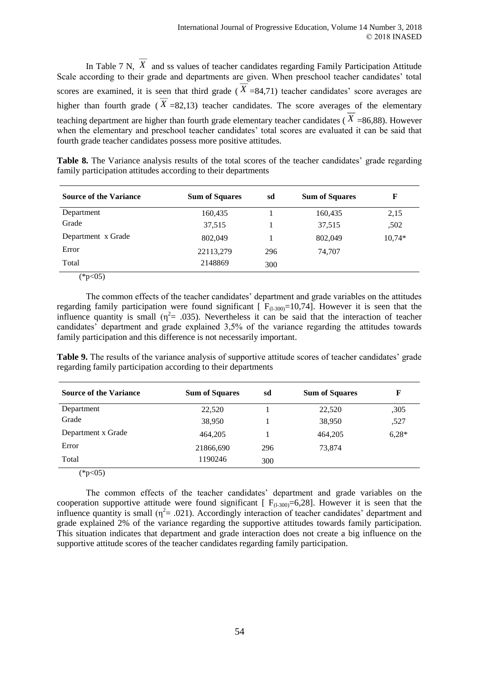In Table 7 N, X and ss values of teacher candidates regarding Family Participation Attitude Scale according to their grade and departments are given. When preschool teacher candidates' total scores are examined, it is seen that third grade ( $X = 84,71$ ) teacher candidates' score averages are higher than fourth grade ( $X = 82,13$ ) teacher candidates. The score averages of the elementary teaching department are higher than fourth grade elementary teacher candidates ( *X* =86,88). However when the elementary and preschool teacher candidates' total scores are evaluated it can be said that fourth grade teacher candidates possess more positive attitudes.

**Table 8.** The Variance analysis results of the total scores of the teacher candidates' grade regarding family participation attitudes according to their departments

| <b>Source of the Variance</b> | <b>Sum of Squares</b> | sd  | <b>Sum of Squares</b> | F        |
|-------------------------------|-----------------------|-----|-----------------------|----------|
| Department                    | 160,435               |     | 160,435               | 2,15     |
| Grade                         | 37,515                |     | 37,515                | ,502     |
| Department x Grade            | 802,049               |     | 802,049               | $10,74*$ |
| Error                         | 22113,279             | 296 | 74,707                |          |
| Total                         | 2148869               | 300 |                       |          |
| $(*p<05)$                     |                       |     |                       |          |

The common effects of the teacher candidates' department and grade variables on the attitudes regarding family participation were found significant  $\int F_{(1,300)} = 10,74$ . However it is seen that the influence quantity is small ( $\eta^2$  = .035). Nevertheless it can be said that the interaction of teacher candidates' department and grade explained 3,5% of the variance regarding the attitudes towards family participation and this difference is not necessarily important.

**Table 9.** The results of the variance analysis of supportive attitude scores of teacher candidates' grade regarding family participation according to their departments

| <b>Source of the Variance</b> | <b>Sum of Squares</b> | sd  | <b>Sum of Squares</b> | F       |
|-------------------------------|-----------------------|-----|-----------------------|---------|
| Department                    | 22,520                |     | 22,520                | ,305    |
| Grade                         | 38,950                |     | 38,950                | ,527    |
| Department x Grade            | 464,205               |     | 464,205               | $6,28*$ |
| Error                         | 21866,690             | 296 | 73,874                |         |
| Total                         | 1190246               | 300 |                       |         |
| (4.07)                        |                       |     |                       |         |

 $(*p<05)$ 

The common effects of the teacher candidates' department and grade variables on the cooperation supportive attitude were found significant  $[F_{(1-300)}=6,28]$ . However it is seen that the influence quantity is small ( $\eta^2$  = .021). Accordingly interaction of teacher candidates' department and grade explained 2% of the variance regarding the supportive attitudes towards family participation. This situation indicates that department and grade interaction does not create a big influence on the supportive attitude scores of the teacher candidates regarding family participation.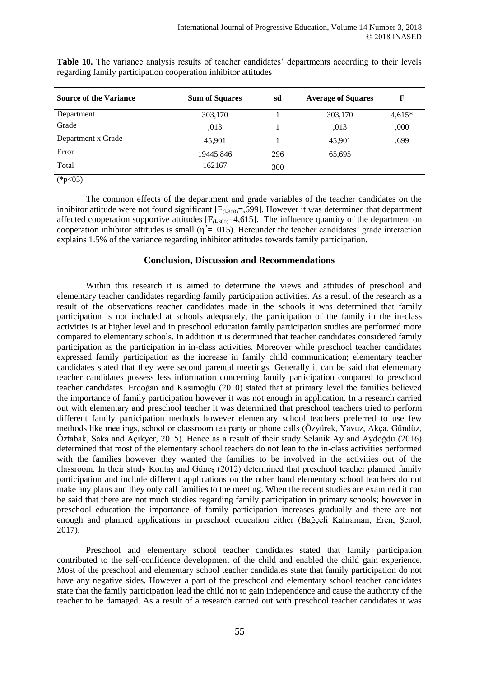| <b>Source of the Variance</b> | <b>Sum of Squares</b> | sd  | <b>Average of Squares</b> | F        |
|-------------------------------|-----------------------|-----|---------------------------|----------|
| Department                    | 303,170               |     | 303,170                   | $4,615*$ |
| Grade                         | .013                  |     | .013                      | ,000     |
| Department x Grade            | 45,901                |     | 45.901                    | ,699     |
| Error                         | 19445,846             | 296 | 65,695                    |          |
| Total                         | 162167                | 300 |                           |          |
| (4.07)                        |                       |     |                           |          |

Table 10. The variance analysis results of teacher candidates' departments according to their levels regarding family participation cooperation inhibitor attitudes

 $(*p<05)$ 

The common effects of the department and grade variables of the teacher candidates on the inhibitor attitude were not found significant  $[F_{(1-300)} = 0.699]$ . However it was determined that department affected cooperation supportive attitudes  $[F_{(1-300)}=4,615]$ . The influence quantity of the department on cooperation inhibitor attitudes is small ( $\eta^2 = .015$ ). Hereunder the teacher candidates' grade interaction explains 1.5% of the variance regarding inhibitor attitudes towards family participation.

## **Conclusion, Discussion and Recommendations**

Within this research it is aimed to determine the views and attitudes of preschool and elementary teacher candidates regarding family participation activities. As a result of the research as a result of the observations teacher candidates made in the schools it was determined that family participation is not included at schools adequately, the participation of the family in the in-class activities is at higher level and in preschool education family participation studies are performed more compared to elementary schools. In addition it is determined that teacher candidates considered family participation as the participation in in-class activities. Moreover while preschool teacher candidates expressed family participation as the increase in family child communication; elementary teacher candidates stated that they were second parental meetings. Generally it can be said that elementary teacher candidates possess less information concerning family participation compared to preschool teacher candidates. Erdoğan and Kasımoğlu (2010) stated that at primary level the families believed the importance of family participation however it was not enough in application. In a research carried out with elementary and preschool teacher it was determined that preschool teachers tried to perform different family participation methods however elementary school teachers preferred to use few methods like meetings, school or classroom tea party or phone calls (Özyürek, Yavuz, Akça, Gündüz, Öztabak, Saka and Açıkyer, 2015). Hence as a result of their study Selanik Ay and Aydoğdu (2016) determined that most of the elementary school teachers do not lean to the in-class activities performed with the families however they wanted the families to be involved in the activities out of the classroom. In their study Kontaş and Güneş (2012) determined that preschool teacher planned family participation and include different applications on the other hand elementary school teachers do not make any plans and they only call families to the meeting. When the recent studies are examined it can be said that there are not much studies regarding family participation in primary schools; however in preschool education the importance of family participation increases gradually and there are not enough and planned applications in preschool education either (Bağçeli Kahraman, Eren, Şenol, 2017).

Preschool and elementary school teacher candidates stated that family participation contributed to the self-confidence development of the child and enabled the child gain experience. Most of the preschool and elementary school teacher candidates state that family participation do not have any negative sides. However a part of the preschool and elementary school teacher candidates state that the family participation lead the child not to gain independence and cause the authority of the teacher to be damaged. As a result of a research carried out with preschool teacher candidates it was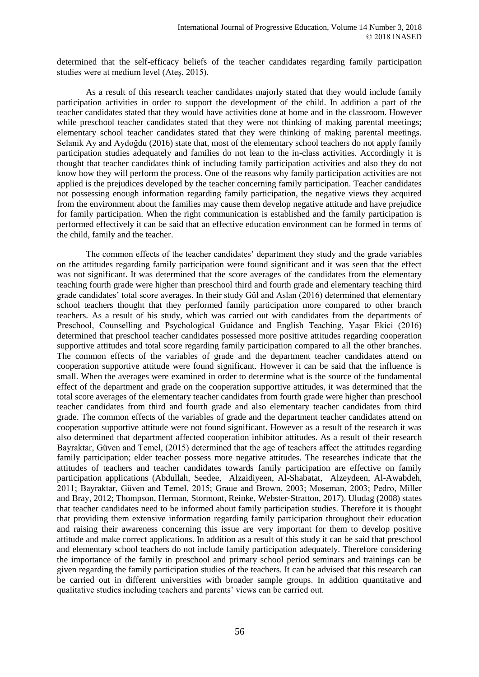determined that the self-efficacy beliefs of the teacher candidates regarding family participation studies were at medium level (Ateş, 2015).

As a result of this research teacher candidates majorly stated that they would include family participation activities in order to support the development of the child. In addition a part of the teacher candidates stated that they would have activities done at home and in the classroom. However while preschool teacher candidates stated that they were not thinking of making parental meetings; elementary school teacher candidates stated that they were thinking of making parental meetings. Selanik Ay and Aydoğdu (2016) state that, most of the elementary school teachers do not apply family participation studies adequately and families do not lean to the in-class activities. Accordingly it is thought that teacher candidates think of including family participation activities and also they do not know how they will perform the process. One of the reasons why family participation activities are not applied is the prejudices developed by the teacher concerning family participation. Teacher candidates not possessing enough information regarding family participation, the negative views they acquired from the environment about the families may cause them develop negative attitude and have prejudice for family participation. When the right communication is established and the family participation is performed effectively it can be said that an effective education environment can be formed in terms of the child, family and the teacher.

The common effects of the teacher candidates' department they study and the grade variables on the attitudes regarding family participation were found significant and it was seen that the effect was not significant. It was determined that the score averages of the candidates from the elementary teaching fourth grade were higher than preschool third and fourth grade and elementary teaching third grade candidates' total score averages. In their study Gül and Aslan (2016) determined that elementary school teachers thought that they performed family participation more compared to other branch teachers. As a result of his study, which was carried out with candidates from the departments of Preschool, Counselling and Psychological Guidance and English Teaching, Yaşar Ekici (2016) determined that preschool teacher candidates possessed more positive attitudes regarding cooperation supportive attitudes and total score regarding family participation compared to all the other branches. The common effects of the variables of grade and the department teacher candidates attend on cooperation supportive attitude were found significant. However it can be said that the influence is small. When the averages were examined in order to determine what is the source of the fundamental effect of the department and grade on the cooperation supportive attitudes, it was determined that the total score averages of the elementary teacher candidates from fourth grade were higher than preschool teacher candidates from third and fourth grade and also elementary teacher candidates from third grade. The common effects of the variables of grade and the department teacher candidates attend on cooperation supportive attitude were not found significant. However as a result of the research it was also determined that department affected cooperation inhibitor attitudes. As a result of their research Bayraktar, Güven and Temel, (2015) determined that the age of teachers affect the attitudes regarding family participation; elder teacher possess more negative attitudes. The researches indicate that the attitudes of teachers and teacher candidates towards family participation are effective on family participation applications (Abdullah, Seedee, Alzaidiyeen, Al-Shabatat, Alzeydeen, Al-Awabdeh, 2011; Bayraktar, Güven and Temel, 2015; Graue and Brown, 2003; Moseman, 2003; Pedro, Miller and Bray, 2012; Thompson, Herman, Stormont, Reinke, Webster-Stratton, 2017). Uludag (2008) states that teacher candidates need to be informed about family participation studies. Therefore it is thought that providing them extensive information regarding family participation throughout their education and raising their awareness concerning this issue are very important for them to develop positive attitude and make correct applications. In addition as a result of this study it can be said that preschool and elementary school teachers do not include family participation adequately. Therefore considering the importance of the family in preschool and primary school period seminars and trainings can be given regarding the family participation studies of the teachers. It can be advised that this research can be carried out in different universities with broader sample groups. In addition quantitative and qualitative studies including teachers and parents' views can be carried out.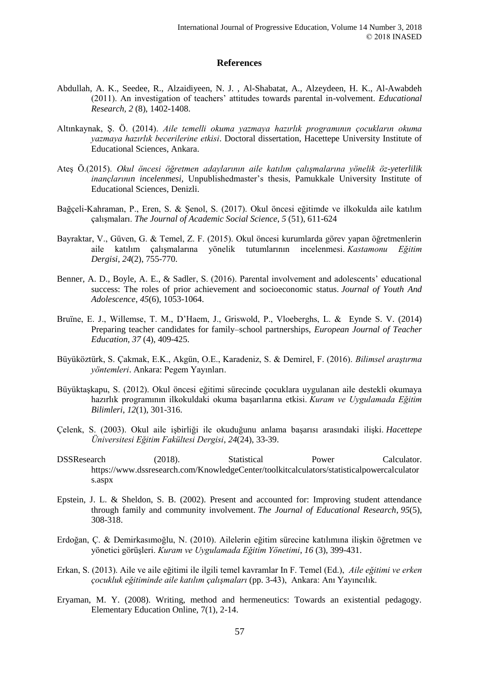## **References**

- Abdullah, A. K., Seedee, R., Alzaidiyeen, N. J. , Al-Shabatat, A., Alzeydeen, H. K., Al-Awabdeh (2011). An investigation of teachers' attitudes towards parental in-volvement. *Educational Research, 2* (8), 1402-1408.
- Altınkaynak, Ş. Ö. (2014). *Aile temelli okuma yazmaya hazırlık programının çocukların okuma yazmaya hazırlık becerilerine etkisi*. Doctoral dissertation, Hacettepe University Institute of Educational Sciences, Ankara.
- Ateş Ö.(2015). *Okul öncesi öğretmen adaylarının aile katılım çalışmalarına yönelik öz-yeterlilik inançlarının incelenmesi,* Unpublishedmaster's thesis, Pamukkale University Institute of Educational Sciences, Denizli.
- Bağçeli-Kahraman, P., Eren, S. & Şenol, S. (2017). Okul öncesi eğitimde ve ilkokulda aile katılım çalışmaları. *The Journal of Academic Social Science*, *5* (51), 611-624
- Bayraktar, V., Güven, G. & Temel, Z. F. (2015). Okul öncesi kurumlarda görev yapan öğretmenlerin aile katılım çalışmalarına yönelik tutumlarının incelenmesi. *Kastamonu Eğitim Dergisi*, *24*(2), 755-770.
- Benner, A. D., Boyle, A. E., & Sadler, S. (2016). Parental involvement and adolescents' educational success: The roles of prior achievement and socioeconomic status. *Journal of Youth And Adolescence*, *45*(6), 1053-1064.
- Bruïne, E. J., Willemse, T. M., D'Haem, J., Griswold, P., Vloeberghs, L. & Eynde S. V. (2014) Preparing teacher candidates for family–school partnerships, *European Journal of Teacher Education*, *37* (4), 409-425.
- Büyüköztürk, S. Çakmak, E.K., Akgün, O.E., Karadeniz, S. & Demirel, F. (2016). *Bilimsel araştırma yöntemleri*. Ankara: Pegem Yayınları.
- Büyüktaşkapu, S. (2012). Okul öncesi eğitimi sürecinde çocuklara uygulanan aile destekli okumaya hazırlık programının ilkokuldaki okuma başarılarına etkisi. *Kuram ve Uygulamada Eğitim Bilimleri*, *12*(1), 301-316.
- Çelenk, S. (2003). Okul aile işbirliği ile okuduğunu anlama başarısı arasındaki ilişki. *Hacettepe Üniversitesi Eğitim Fakültesi Dergisi*, *24*(24), 33-39.
- DSSResearch (2018). Statistical Power Calculator. https://www.dssresearch.com/KnowledgeCenter/toolkitcalculators/statisticalpowercalculator s.aspx
- Epstein, J. L. & Sheldon, S. B. (2002). Present and accounted for: Improving student attendance through family and community involvement. *The Journal of Educational Research*, *95*(5), 308-318.
- Erdoğan, Ç. & Demirkasımoğlu, N. (2010). Ailelerin eğitim sürecine katılımına ilişkin öğretmen ve yönetici görüşleri. *Kuram ve Uygulamada Eğitim Yönetimi*, *16* (3), 399-431.
- Erkan, S. (2013). Aile ve aile eğitimi ile ilgili temel kavramlar In F. Temel (Ed.), *Aile eğitimi ve erken çocukluk eğitiminde aile katılım çalışmaları* (pp. 3-43), Ankara: Anı Yayıncılık.
- Eryaman, M. Y. (2008). Writing, method and hermeneutics: Towards an existential pedagogy. Elementary Education Online, 7(1), 2-14.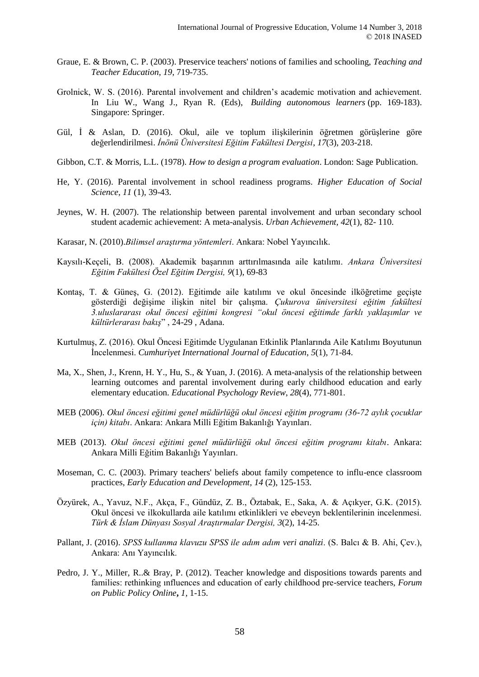- Graue, E. & Brown, C. P. (2003). Preservice teachers' notions of families and schooling, *Teaching and Teacher Education, 19*, 719-735.
- Grolnick, W. S. (2016). Parental involvement and children's academic motivation and achievement. In Liu W., Wang J., Ryan R. (Eds), *Building autonomous learners* (pp. 169-183). Singapore: Springer.
- Gül, İ & Aslan, D. (2016). Okul, aile ve toplum ilişkilerinin öğretmen görüşlerine göre değerlendirilmesi. *İnönü Üniversitesi Eğitim Fakültesi Dergisi*, *17*(3), 203-218.
- Gibbon, C.T. & Morris, L.L. (1978). *How to design a program evaluation*. London: Sage Publication.
- He, Y. (2016). Parental involvement in school readiness programs. *Higher Education of Social Science*, *11* (1), 39-43.
- Jeynes, W. H. (2007). The relationship between parental involvement and urban secondary school student academic achievement: A meta-analysis. *Urban Achievement, 42*(1), 82- 110.
- Karasar, N. (2010).*Bilimsel araştırma yöntemleri*. Ankara: Nobel Yayıncılık.
- Kaysılı-Keçeli, B. (2008). Akademik başarının arttırılmasında aile katılımı. *Ankara Üniversitesi Eğitim Fakültesi Özel Eğitim Dergisi, 9*(1), 69-83
- Kontaş, T. & Güneş, G. (2012). Eğitimde aile katılımı ve okul öncesinde ilköğretime geçişte gösterdiği değişime ilişkin nitel bir çalışma. *Çukurova üniversitesi eğitim fakültesi 3.uluslararası okul öncesi eğitimi kongresi "okul öncesi eğitimde farklı yaklaşımlar ve kültürlerarası bakış*" , 24-29 , Adana.
- Kurtulmuş, Z. (2016). Okul Öncesi Eğitimde Uygulanan Etkinlik Planlarında Aile Katılımı Boyutunun İncelenmesi. *Cumhuriyet International Journal of Education*, *5*(1), 71-84.
- Ma, X., Shen, J., Krenn, H. Y., Hu, S., & Yuan, J. (2016). A meta-analysis of the relationship between learning outcomes and parental involvement during early childhood education and early elementary education. *Educational Psychology Review*, *28*(4), 771-801.
- MEB (2006). *Okul öncesi eğitimi genel müdürlüğü okul öncesi eğitim programı (36-72 aylık çocuklar için) kitabı*. Ankara: Ankara Milli Eğitim Bakanlığı Yayınları.
- MEB (2013). *Okul öncesi eğitimi genel müdürlüğü okul öncesi eğitim programı kitabı*. Ankara: Ankara Milli Eğitim Bakanlığı Yayınları.
- Moseman, C. C. (2003). Primary teachers' beliefs about family competence to influ-ence classroom practices, *Early Education and Development, 14* (2), 125-153.
- Özyürek, A., Yavuz, N.F., Akça, F., Gündüz, Z. B., Öztabak, E., Saka, A. & Açıkyer, G.K. (2015). Okul öncesi ve ilkokullarda aile katılımı etkinlikleri ve ebeveyn beklentilerinin incelenmesi. *Türk & İslam Dünyası Sosyal Araştırmalar Dergisi, 3*(2), 14-25.
- Pallant, J. (2016). *SPSS kullanma klavuzu SPSS ile adım adım veri analizi*. (S. Balcı & B. Ahi, Çev.), Ankara: Anı Yayıncılık.
- Pedro*,* J. Y.*,* Miller, R..& Bray, P. (2012). Teacher knowledge and dispositions towards parents and families: rethinking ınfluences and education of early childhood pre-service teachers, *Forum on Public Policy Online***,** *1,* 1-15.